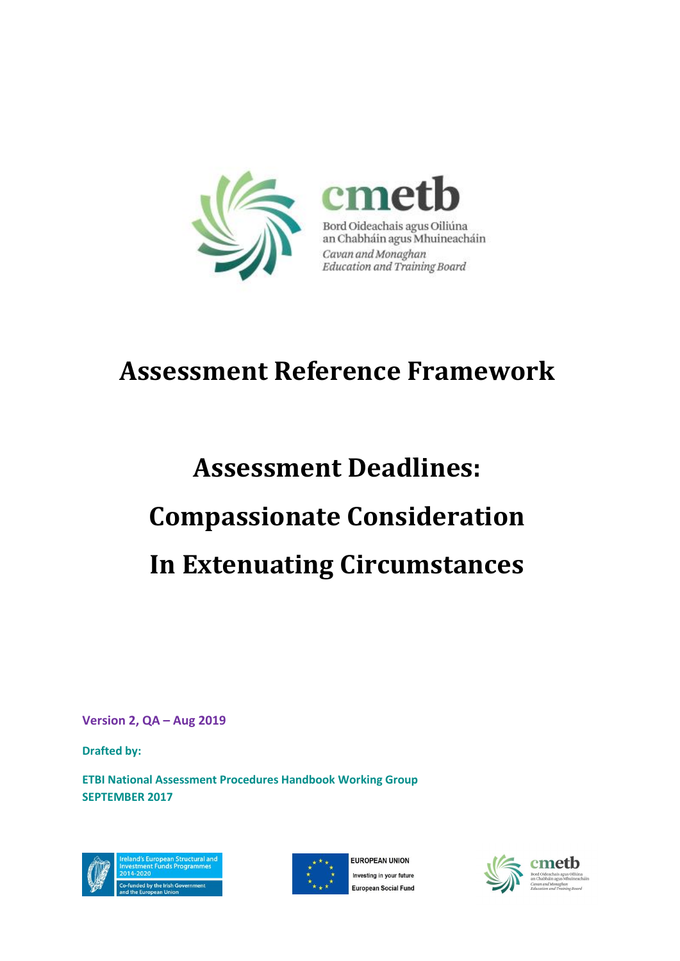

## **Assessment Reference Framework**

# **Assessment Deadlines: Compassionate Consideration In Extenuating Circumstances**

**Version 2, QA – Aug 2019**

**Drafted by:** 

**ETBI National Assessment Procedures Handbook Working Group SEPTEMBER 2017**





FUROPEAN UNION Investing in your future **European Social Fund** 

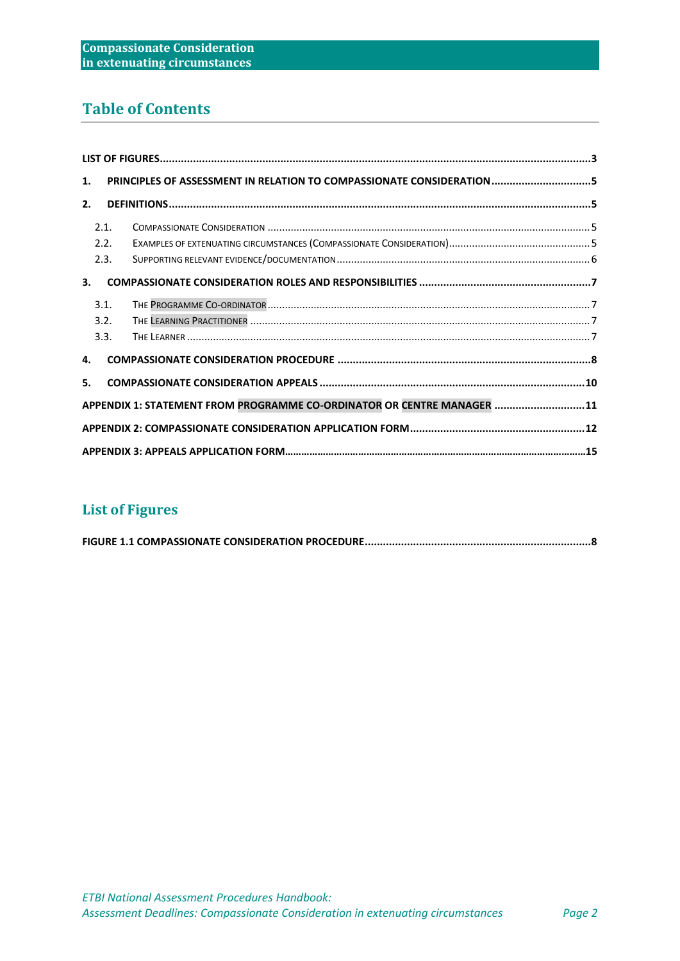## **Table of Contents**

|                                                                        | PRINCIPLES OF ASSESSMENT IN RELATION TO COMPASSIONATE CONSIDERATION5<br>1. |  |  |  |
|------------------------------------------------------------------------|----------------------------------------------------------------------------|--|--|--|
| 2.                                                                     |                                                                            |  |  |  |
|                                                                        | 2.1.                                                                       |  |  |  |
|                                                                        | 2.2.                                                                       |  |  |  |
|                                                                        | 2.3.                                                                       |  |  |  |
| 3.                                                                     |                                                                            |  |  |  |
|                                                                        | 3.1.                                                                       |  |  |  |
|                                                                        | 3.2.                                                                       |  |  |  |
|                                                                        | 3.3.                                                                       |  |  |  |
|                                                                        | 4.                                                                         |  |  |  |
|                                                                        | 5.                                                                         |  |  |  |
| APPENDIX 1: STATEMENT FROM PROGRAMME CO-ORDINATOR OR CENTRE MANAGER 11 |                                                                            |  |  |  |
|                                                                        |                                                                            |  |  |  |
|                                                                        |                                                                            |  |  |  |

## <span id="page-1-0"></span>**List of Figures**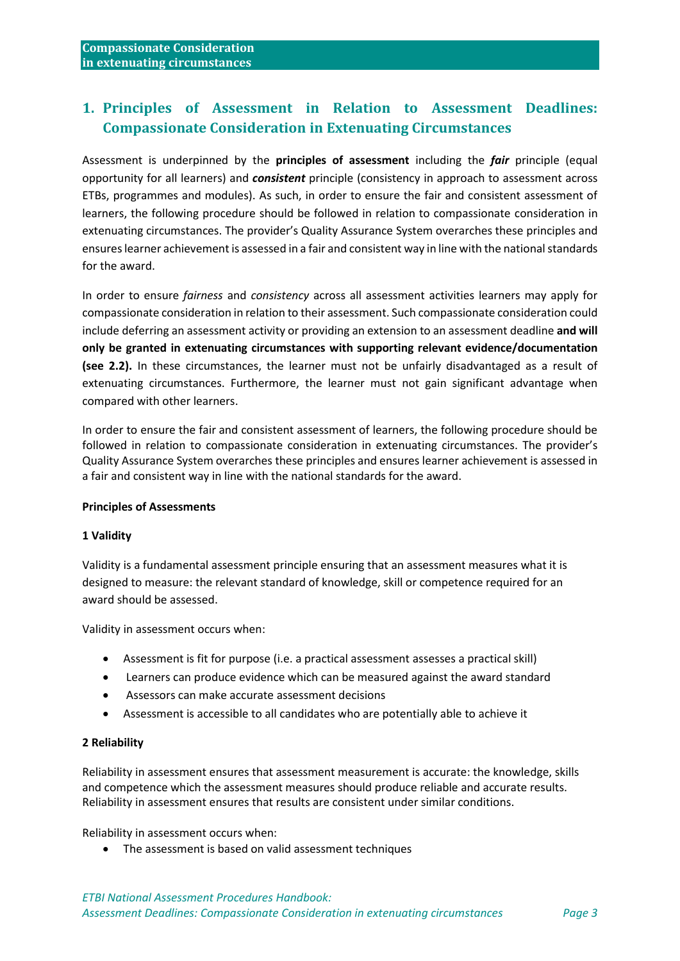## <span id="page-2-0"></span>**1. Principles of Assessment in Relation to Assessment Deadlines: Compassionate Consideration in Extenuating Circumstances**

Assessment is underpinned by the **principles of assessment** including the *fair* principle (equal opportunity for all learners) and *consistent* principle (consistency in approach to assessment across ETBs, programmes and modules). As such, in order to ensure the fair and consistent assessment of learners, the following procedure should be followed in relation to compassionate consideration in extenuating circumstances. The provider's Quality Assurance System overarches these principles and ensures learner achievement is assessed in a fair and consistent way in line with the national standards for the award.

In order to ensure *fairness* and *consistency* across all assessment activities learners may apply for compassionate consideration in relation to their assessment. Such compassionate consideration could include deferring an assessment activity or providing an extension to an assessment deadline **and will only be granted in extenuating circumstances with supporting relevant evidence/documentation (see 2.2).** In these circumstances, the learner must not be unfairly disadvantaged as a result of extenuating circumstances. Furthermore, the learner must not gain significant advantage when compared with other learners.

In order to ensure the fair and consistent assessment of learners, the following procedure should be followed in relation to compassionate consideration in extenuating circumstances. The provider's Quality Assurance System overarches these principles and ensures learner achievement is assessed in a fair and consistent way in line with the national standards for the award.

#### **Principles of Assessments**

#### **1 Validity**

Validity is a fundamental assessment principle ensuring that an assessment measures what it is designed to measure: the relevant standard of knowledge, skill or competence required for an award should be assessed.

Validity in assessment occurs when:

- Assessment is fit for purpose (i.e. a practical assessment assesses a practical skill)
- Learners can produce evidence which can be measured against the award standard
- Assessors can make accurate assessment decisions
- Assessment is accessible to all candidates who are potentially able to achieve it

#### **2 Reliability**

Reliability in assessment ensures that assessment measurement is accurate: the knowledge, skills and competence which the assessment measures should produce reliable and accurate results. Reliability in assessment ensures that results are consistent under similar conditions.

Reliability in assessment occurs when:

• The assessment is based on valid assessment techniques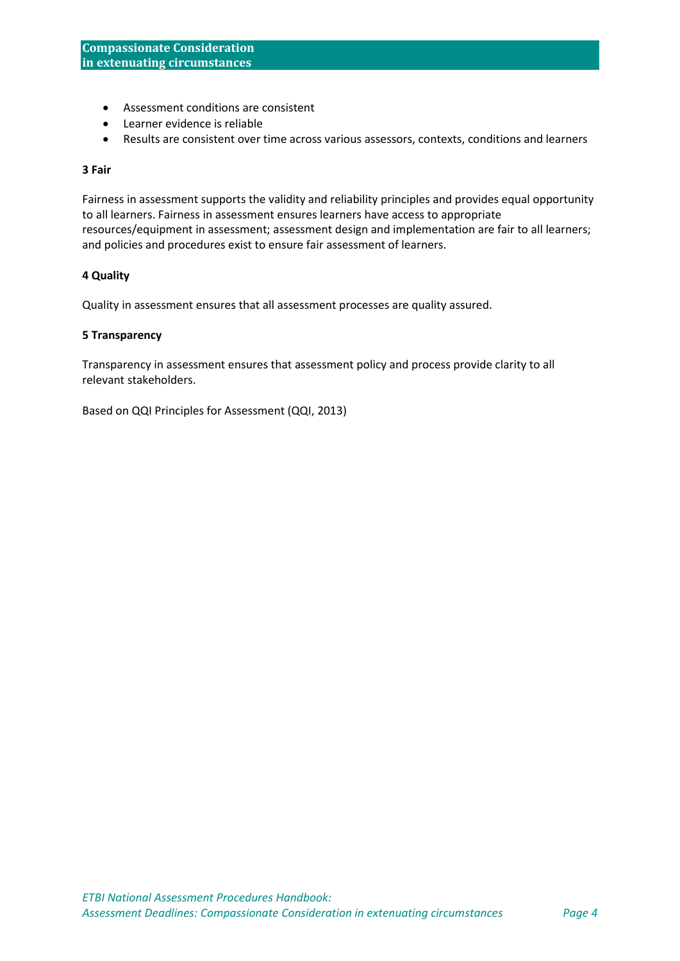- Assessment conditions are consistent
- Learner evidence is reliable
- Results are consistent over time across various assessors, contexts, conditions and learners

#### **3 Fair**

Fairness in assessment supports the validity and reliability principles and provides equal opportunity to all learners. Fairness in assessment ensures learners have access to appropriate resources/equipment in assessment; assessment design and implementation are fair to all learners; and policies and procedures exist to ensure fair assessment of learners.

#### **4 Quality**

Quality in assessment ensures that all assessment processes are quality assured.

#### **5 Transparency**

Transparency in assessment ensures that assessment policy and process provide clarity to all relevant stakeholders.

Based on QQI Principles for Assessment (QQI, 2013)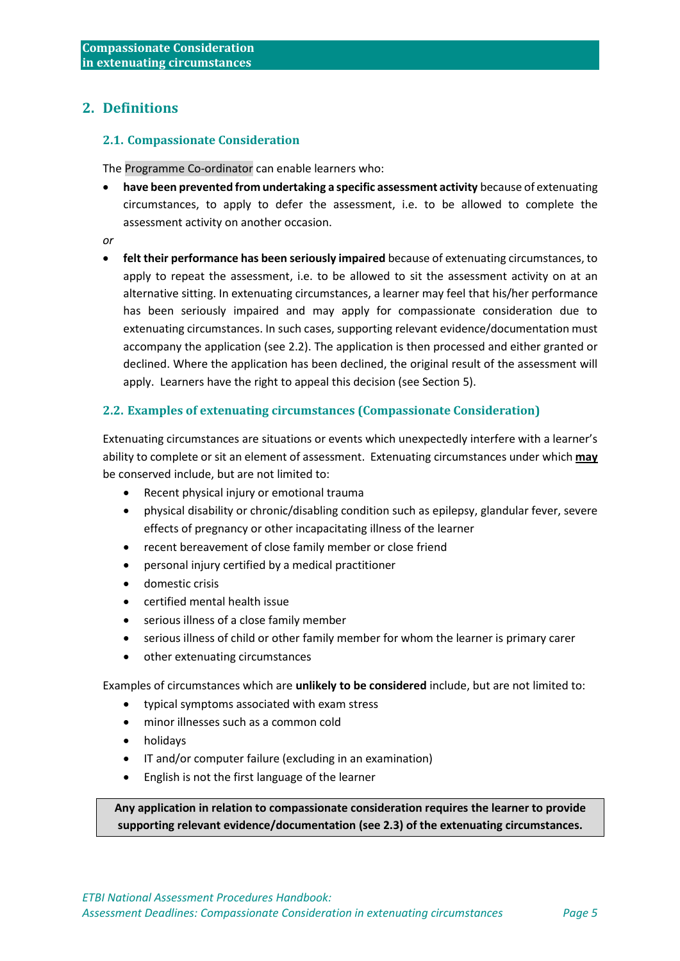## <span id="page-4-0"></span>**2. Definitions**

#### <span id="page-4-1"></span>**2.1. Compassionate Consideration**

The Programme Co-ordinator can enable learners who:

- **have been prevented from undertaking a specific assessment activity** because of extenuating circumstances, to apply to defer the assessment, i.e. to be allowed to complete the assessment activity on another occasion.
- *or*
- **felt their performance has been seriously impaired** because of extenuating circumstances, to apply to repeat the assessment, i.e. to be allowed to sit the assessment activity on at an alternative sitting. In extenuating circumstances, a learner may feel that his/her performance has been seriously impaired and may apply for compassionate consideration due to extenuating circumstances. In such cases, supporting relevant evidence/documentation must accompany the application (see 2.2). The application is then processed and either granted or declined. Where the application has been declined, the original result of the assessment will apply. Learners have the right to appeal this decision (see Section 5).

#### <span id="page-4-2"></span>**2.2. Examples of extenuating circumstances (Compassionate Consideration)**

Extenuating circumstances are situations or events which unexpectedly interfere with a learner's ability to complete or sit an element of assessment. Extenuating circumstances under which **may** be conserved include, but are not limited to:

- Recent physical injury or emotional trauma
- physical disability or chronic/disabling condition such as epilepsy, glandular fever, severe effects of pregnancy or other incapacitating illness of the learner
- recent bereavement of close family member or close friend
- personal injury certified by a medical practitioner
- domestic crisis
- certified mental health issue
- serious illness of a close family member
- serious illness of child or other family member for whom the learner is primary carer
- other extenuating circumstances

Examples of circumstances which are **unlikely to be considered** include, but are not limited to:

- typical symptoms associated with exam stress
- minor illnesses such as a common cold
- holidays
- IT and/or computer failure (excluding in an examination)
- English is not the first language of the learner

**Any application in relation to compassionate consideration requires the learner to provide supporting relevant evidence/documentation (see 2.3) of the extenuating circumstances.**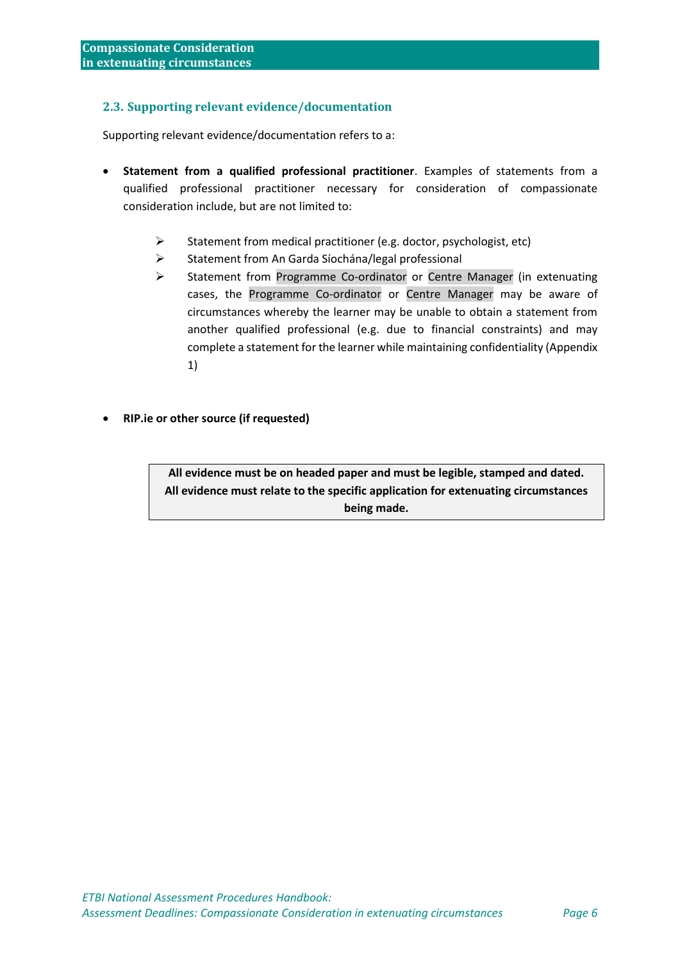#### <span id="page-5-0"></span>**2.3. Supporting relevant evidence/documentation**

Supporting relevant evidence/documentation refers to a:

- **Statement from a qualified professional practitioner**. Examples of statements from a qualified professional practitioner necessary for consideration of compassionate consideration include, but are not limited to:
	- ➢ Statement from medical practitioner (e.g. doctor, psychologist, etc)
	- ➢ Statement from An Garda Síochána/legal professional
	- ➢ Statement from Programme Co-ordinator or Centre Manager (in extenuating cases, the Programme Co-ordinator or Centre Manager may be aware of circumstances whereby the learner may be unable to obtain a statement from another qualified professional (e.g. due to financial constraints) and may complete a statement for the learner while maintaining confidentiality (Appendix 1)
- **RIP.ie or other source (if requested)**

**All evidence must be on headed paper and must be legible, stamped and dated. All evidence must relate to the specific application for extenuating circumstances being made.**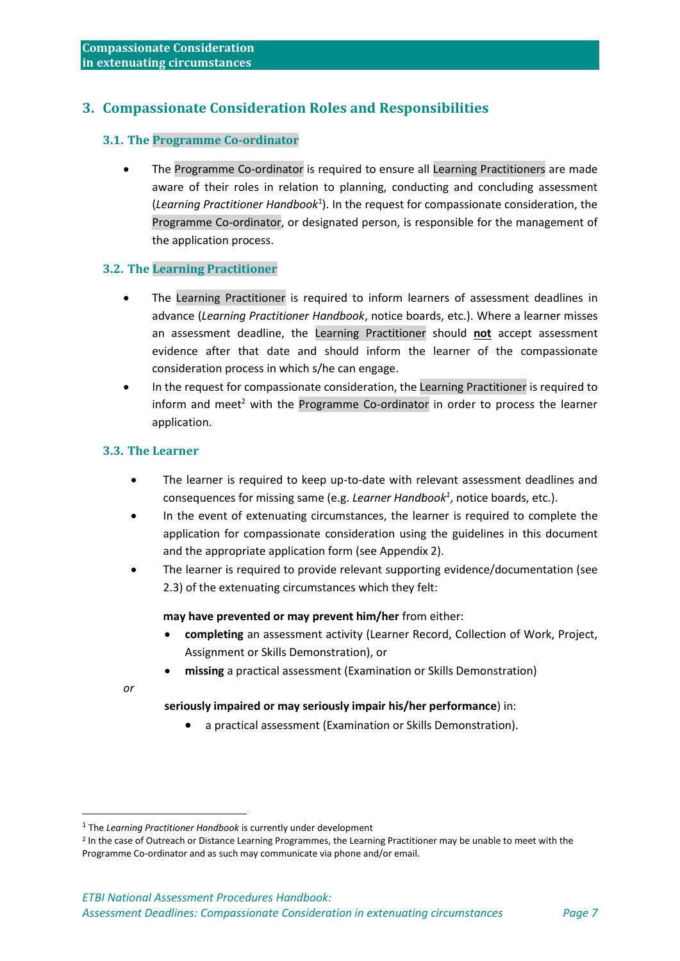## <span id="page-6-0"></span>**3. Compassionate Consideration Roles and Responsibilities**

#### <span id="page-6-1"></span>**3.1. The Programme Co-ordinator**

• The Programme Co-ordinator is required to ensure all Learning Practitioners are made aware of their roles in relation to planning, conducting and concluding assessment (*Learning Practitioner Handbook*<sup>1</sup> ). In the request for compassionate consideration, the Programme Co-ordinator, or designated person, is responsible for the management of the application process.

#### <span id="page-6-2"></span>**3.2. The Learning Practitioner**

- The Learning Practitioner is required to inform learners of assessment deadlines in advance (*Learning Practitioner Handbook*, notice boards, etc.). Where a learner misses an assessment deadline, the Learning Practitioner should **not** accept assessment evidence after that date and should inform the learner of the compassionate consideration process in which s/he can engage.
- In the request for compassionate consideration, the Learning Practitioner is required to inform and meet<sup>2</sup> with the Programme Co-ordinator in order to process the learner application.

#### <span id="page-6-3"></span>**3.3. The Learner**

- The learner is required to keep up-to-date with relevant assessment deadlines and consequences for missing same (e.g. *Learner Handbook<sup>1</sup>*, notice boards, etc.).
- In the event of extenuating circumstances, the learner is required to complete the application for compassionate consideration using the guidelines in this document and the appropriate application form (see Appendix 2).
- The learner is required to provide relevant supporting evidence/documentation (see 2.3) of the extenuating circumstances which they felt:

#### **may have prevented or may prevent him/her** from either:

- **completing** an assessment activity (Learner Record, Collection of Work, Project, Assignment or Skills Demonstration), or
- **missing** a practical assessment (Examination or Skills Demonstration)

*or* 

#### **seriously impaired or may seriously impair his/her performance**) in:

• a practical assessment (Examination or Skills Demonstration).

<sup>&</sup>lt;sup>1</sup> The *Learning Practitioner Handbook* is currently under development

<sup>&</sup>lt;sup>2</sup> In the case of Outreach or Distance Learning Programmes, the Learning Practitioner may be unable to meet with the Programme Co-ordinator and as such may communicate via phone and/or email.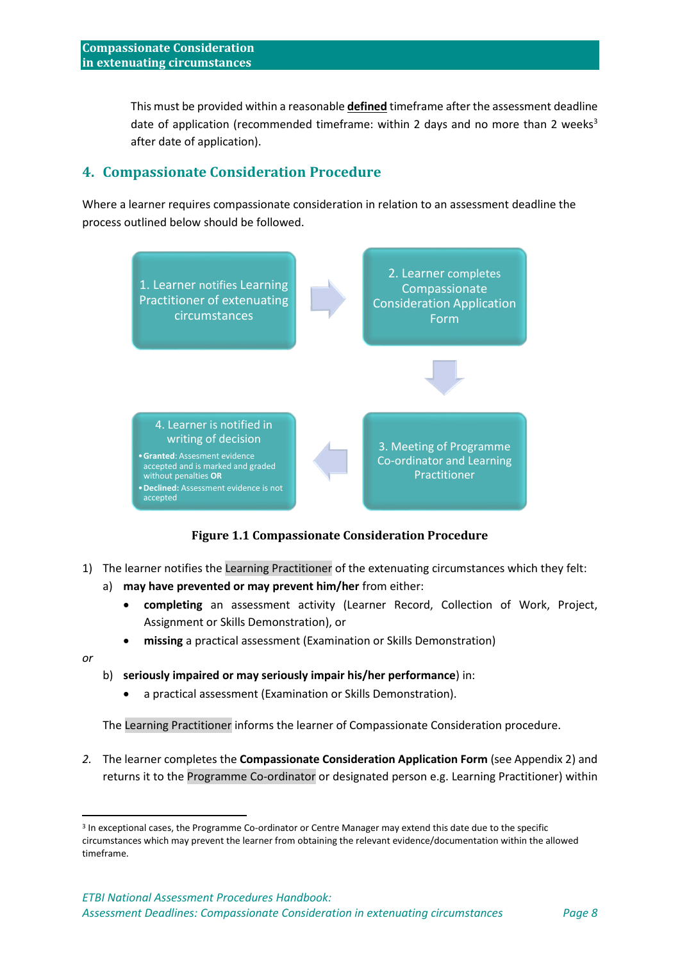This must be provided within a reasonable **defined** timeframe after the assessment deadline date of application (recommended timeframe: within 2 days and no more than 2 weeks<sup>3</sup> after date of application).

## <span id="page-7-0"></span>**4. Compassionate Consideration Procedure**

Where a learner requires compassionate consideration in relation to an assessment deadline the process outlined below should be followed.



#### **Figure 1.1 Compassionate Consideration Procedure**

- <span id="page-7-1"></span>1) The learner notifies the Learning Practitioner of the extenuating circumstances which they felt:
	- a) **may have prevented or may prevent him/her** from either:
		- **completing** an assessment activity (Learner Record, Collection of Work, Project, Assignment or Skills Demonstration), or
		- **missing** a practical assessment (Examination or Skills Demonstration)
- *or*

#### b) **seriously impaired or may seriously impair his/her performance**) in:

• a practical assessment (Examination or Skills Demonstration).

The Learning Practitioner informs the learner of Compassionate Consideration procedure.

*2.* The learner completes the **[Compassionate Consideration Application Form](file:///C:/Users/Owner/Dropbox/ETB%20Project/Forward%20Documentation/Resources/Compassionate%20Consideration/Application%20Form%20for%20granting%20compassionate%20consideration.doc)** (see Appendix 2) and [returns it t](file:///C:/Users/Owner/Dropbox/ETB%20Project/Forward%20Documentation/Resources/Compassionate%20Consideration/Application%20Form%20for%20granting%20compassionate%20consideration.doc)o the Programme Co-ordinator or designated person e.g. Learning Practitioner) within

<sup>&</sup>lt;sup>3</sup> In exceptional cases, the Programme Co-ordinator or Centre Manager may extend this date due to the specific circumstances which may prevent the learner from obtaining the relevant evidence/documentation within the allowed timeframe.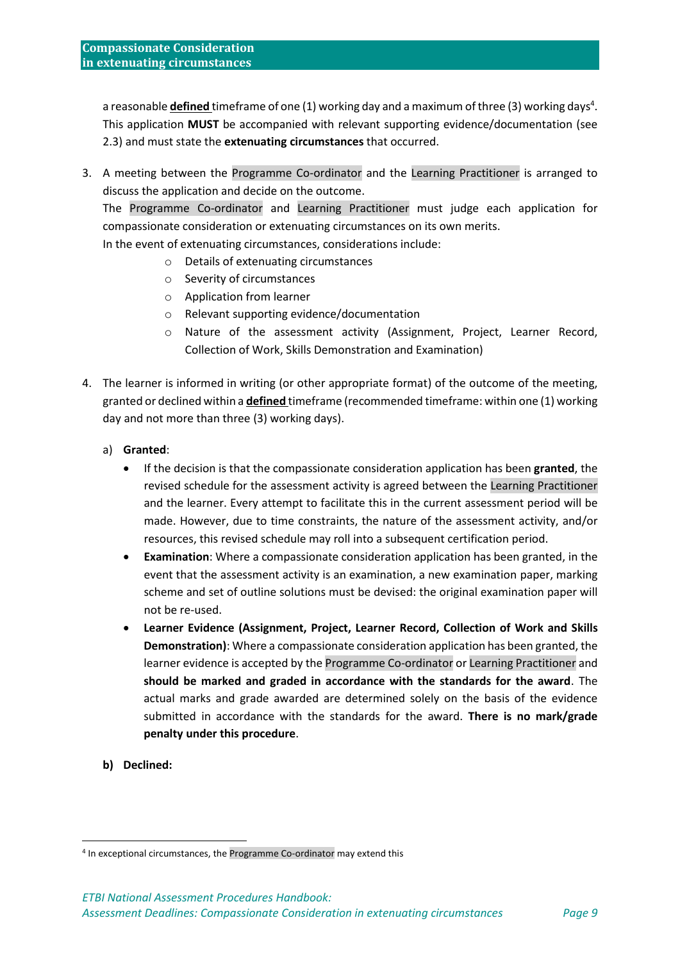a reasonable *defined* timeframe of one (1) working day and a maximum of three (3) working days<sup>4</sup>. This application **MUST** be accompanied with relevant supporting evidence/documentation (see 2.3) and must state the **extenuating [circumstances](file:///C:/Users/Owner/Dropbox/ETB%20Project/Forward%20Documentation/Assessment%20Website%20Working%20Group%202007%202008/Exceptional%20Circumstances.html)** that occurred.

3. A meeting between the Programme Co-ordinator and the Learning Practitioner is arranged to discuss the application and decide on the outcome.

The Programme Co-ordinator and Learning Practitioner must judge each application for compassionate consideration or extenuating circumstances on its own merits.

In the event of extenuating circumstances, considerations include:

- o Details of extenuating circumstances
- o Severity of circumstances
- o Application from learner
- o Relevant supporting evidence/documentation
- o Nature of the assessment activity (Assignment, Project, Learner Record, Collection of Work, Skills Demonstration and Examination)
- 4. The learner is informed in writing (or other appropriate format) of the outcome of the meeting, [granted](file:///C:/Users/Owner/Dropbox/ETB%20Project/Forward%20Documentation/Assessment%20Website%20Working%20Group%202007%202008/Compassionate%20Consideration%20Application%20Successful.html) or declined within a **defined** timeframe (recommended timeframe: within one (1) working day and not more than three (3) working days).
	- a) **Granted**:
		- If the decision is that the compassionate consideration application has been **granted**, the revised schedule for the assessment activity is agreed between the Learning Practitioner and the learner. Every attempt to facilitate this in the current assessment period will be made. However, due to time constraints, the nature of the assessment activity, and/or resources, this revised schedule may roll into a subsequent certification period.
		- **Examination**: Where a compassionate consideration application has been granted, in the event that the assessment activity is an examination, a new examination paper, marking scheme and set of outline solutions must be devised: the original examination paper will not be re-used.
		- **Learner Evidence (Assignment, Project, Learner Record, Collection of Work and Skills Demonstration)**: Where a compassionate consideration application has been granted, the learner evidence is accepted by the Programme Co-ordinator or Learning Practitioner and **should be marked and graded in accordance with the standards for the award**. The actual marks and grade awarded are determined solely on the basis of the evidence submitted in accordance with the standards for the award. **There is no mark/grade penalty under this procedure**.
	- **b) Declined:**

<sup>4</sup> In exceptional circumstances, the Programme Co-ordinator may extend this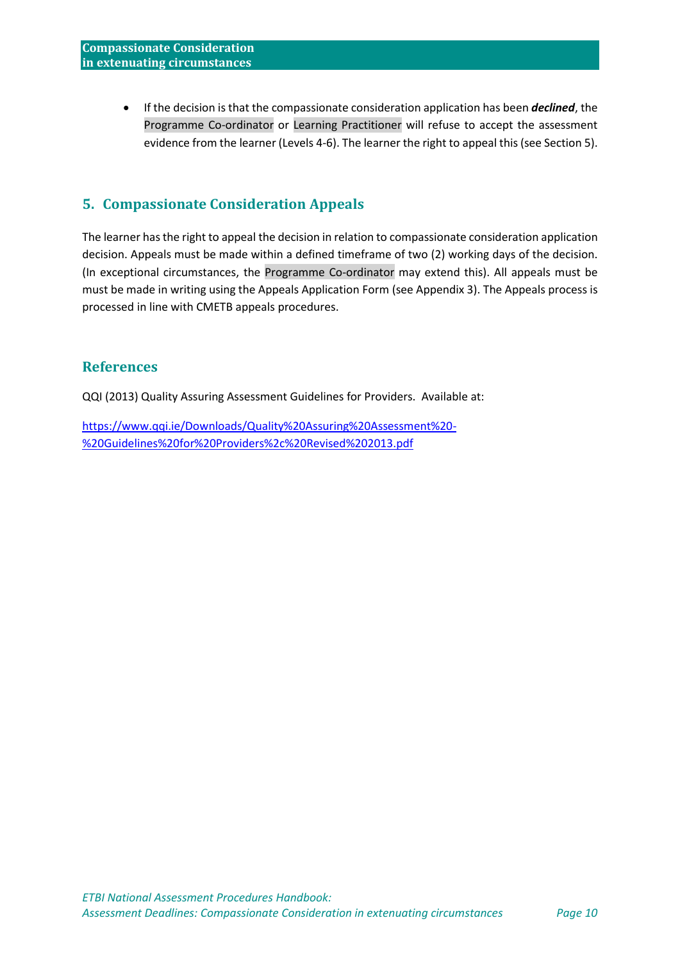• If the decision is that the compassionate consideration application has been *declined*, the Programme Co-ordinator or Learning Practitioner will refuse to accept the assessment evidence from the learner (Levels 4-6). The learner the right to appeal this (see Section 5).

## <span id="page-9-0"></span>**5. Compassionate Consideration Appeals**

The learner has the right to appeal the decision in relation to compassionate consideration application decision. Appeals must be made within a defined timeframe of two (2) working days of the decision. (In exceptional circumstances, the Programme Co-ordinator may extend this). All appeals must be must be made in writing using the Appeals Application Form (see Appendix 3). The Appeals process is processed in line with CMETB appeals procedures.

## **References**

QQI (2013) Quality Assuring Assessment Guidelines for Providers. Available at:

[https://www.qqi.ie/Downloads/Quality%20Assuring%20Assessment%20-](https://www.qqi.ie/Downloads/Quality%20Assuring%20Assessment%20-%20Guidelines%20for%20Providers%2c%20Revised%202013.pdf) [%20Guidelines%20for%20Providers%2c%20Revised%202013.pdf](https://www.qqi.ie/Downloads/Quality%20Assuring%20Assessment%20-%20Guidelines%20for%20Providers%2c%20Revised%202013.pdf)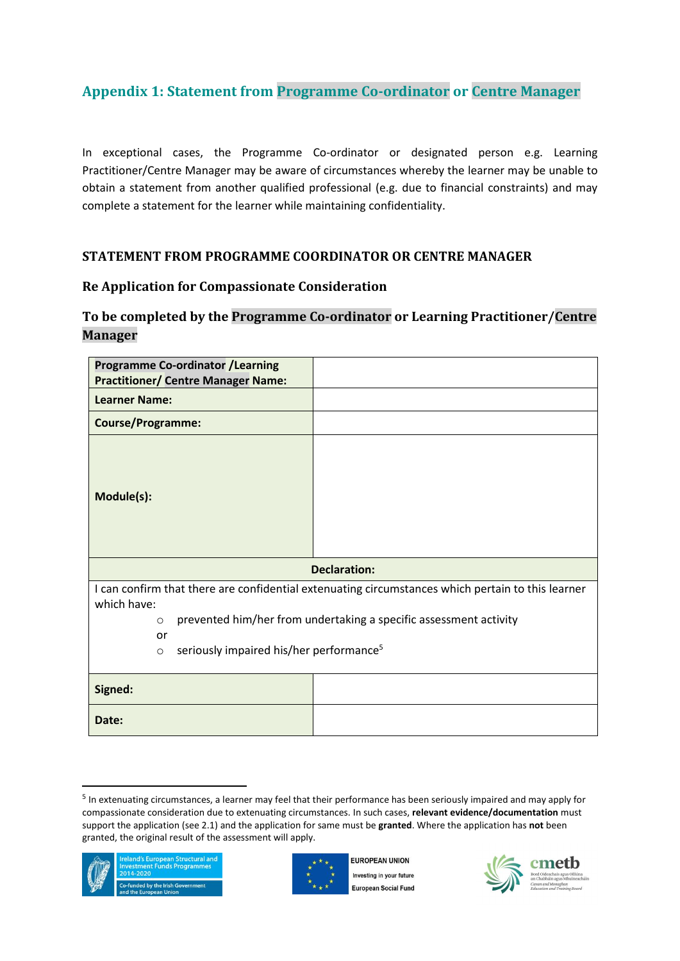## <span id="page-10-0"></span>**Appendix 1: Statement from Programme Co-ordinator or Centre Manager**

In exceptional cases, the Programme Co-ordinator or designated person e.g. Learning Practitioner/Centre Manager may be aware of circumstances whereby the learner may be unable to obtain a statement from another qualified professional (e.g. due to financial constraints) and may complete a statement for the learner while maintaining confidentiality.

## **STATEMENT FROM PROGRAMME COORDINATOR OR CENTRE MANAGER**

### **Re Application for Compassionate Consideration**

## **To be completed by the Programme Co-ordinator or Learning Practitioner/Centre Manager**

| <b>Programme Co-ordinator /Learning</b><br><b>Practitioner/ Centre Manager Name:</b>                                                                                |  |  |
|---------------------------------------------------------------------------------------------------------------------------------------------------------------------|--|--|
| <b>Learner Name:</b>                                                                                                                                                |  |  |
| <b>Course/Programme:</b>                                                                                                                                            |  |  |
| Module(s):                                                                                                                                                          |  |  |
| <b>Declaration:</b>                                                                                                                                                 |  |  |
| I can confirm that there are confidential extenuating circumstances which pertain to this learner                                                                   |  |  |
| which have:<br>prevented him/her from undertaking a specific assessment activity<br>$\circ$<br>or<br>seriously impaired his/her performance <sup>5</sup><br>$\circ$ |  |  |
| Signed:                                                                                                                                                             |  |  |
| Date:                                                                                                                                                               |  |  |

<sup>&</sup>lt;sup>5</sup> In extenuating circumstances, a learner may feel that their performance has been seriously impaired and may apply for compassionate consideration due to extenuating circumstances. In such cases, **relevant evidence/documentation** must support the application (see 2.1) and the application for same must be **granted**. Where the application has **not** been granted, the original result of the assessment will apply.





FUROPEAN UNION Investing in your future **European Social Fund** 

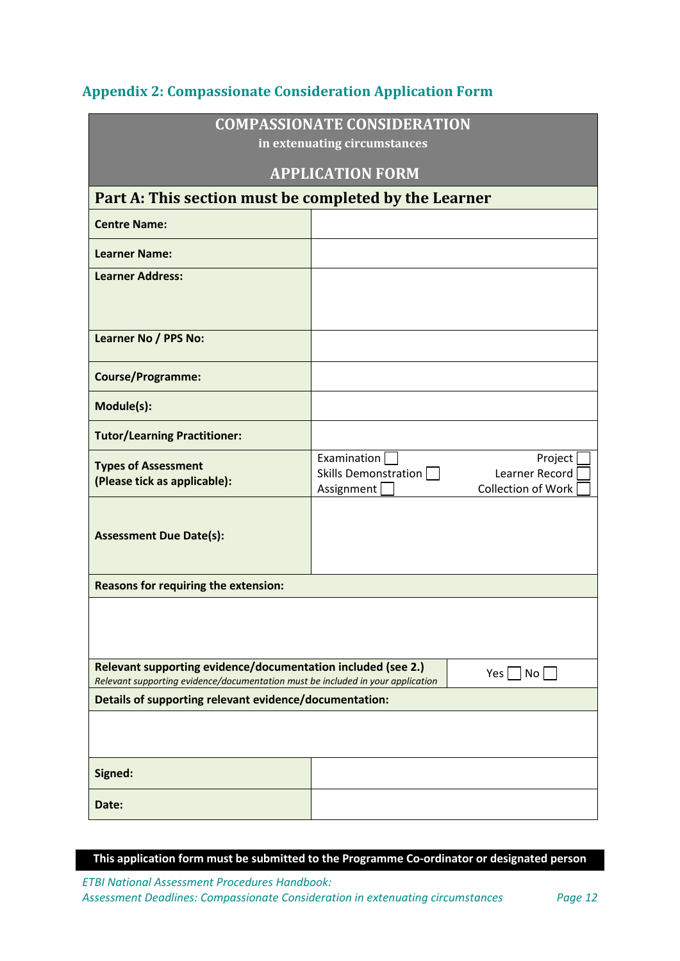<span id="page-11-0"></span>

| <b>Appendix 2: Compassionate Consideration Application Form</b> |  |
|-----------------------------------------------------------------|--|
|                                                                 |  |

| <b>COMPASSIONATE CONSIDERATION</b><br>in extenuating circumstances                                                                                                      |                                                                                                                                  |  |
|-------------------------------------------------------------------------------------------------------------------------------------------------------------------------|----------------------------------------------------------------------------------------------------------------------------------|--|
|                                                                                                                                                                         | <b>APPLICATION FORM</b>                                                                                                          |  |
| Part A: This section must be completed by the Learner                                                                                                                   |                                                                                                                                  |  |
| <b>Centre Name:</b>                                                                                                                                                     |                                                                                                                                  |  |
| <b>Learner Name:</b>                                                                                                                                                    |                                                                                                                                  |  |
| <b>Learner Address:</b>                                                                                                                                                 |                                                                                                                                  |  |
|                                                                                                                                                                         |                                                                                                                                  |  |
| <b>Learner No / PPS No:</b>                                                                                                                                             |                                                                                                                                  |  |
| <b>Course/Programme:</b>                                                                                                                                                |                                                                                                                                  |  |
| Module(s):                                                                                                                                                              |                                                                                                                                  |  |
| <b>Tutor/Learning Practitioner:</b>                                                                                                                                     |                                                                                                                                  |  |
| <b>Types of Assessment</b><br>(Please tick as applicable):                                                                                                              | Examination $\sqrt{\phantom{a}}$<br>Project<br>Skills Demonstration<br>Learner Record<br>Assignment<br><b>Collection of Work</b> |  |
| <b>Assessment Due Date(s):</b>                                                                                                                                          |                                                                                                                                  |  |
| <b>Reasons for requiring the extension:</b>                                                                                                                             |                                                                                                                                  |  |
|                                                                                                                                                                         |                                                                                                                                  |  |
| Relevant supporting evidence/documentation included (see 2.)<br>$Yes \mid \text{No}$<br>Relevant supporting evidence/documentation must be included in your application |                                                                                                                                  |  |
| Details of supporting relevant evidence/documentation:                                                                                                                  |                                                                                                                                  |  |
|                                                                                                                                                                         |                                                                                                                                  |  |
| Signed:                                                                                                                                                                 |                                                                                                                                  |  |
| Date:                                                                                                                                                                   |                                                                                                                                  |  |

**This application form must be submitted to the Programme Co-ordinator or designated person**

*ETBI National Assessment Procedures Handbook: Assessment Deadlines: Compassionate Consideration in extenuating circumstances Page 12*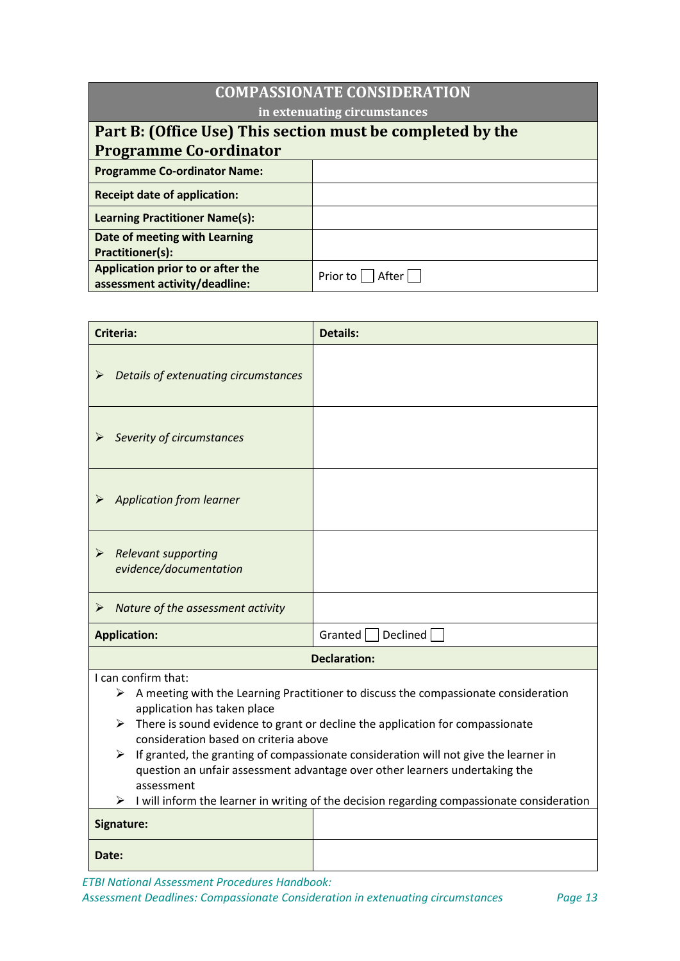| <b>COMPASSIONATE CONSIDERATION</b>                                 |                   |  |
|--------------------------------------------------------------------|-------------------|--|
| in extenuating circumstances                                       |                   |  |
| Part B: (Office Use) This section must be completed by the         |                   |  |
| <b>Programme Co-ordinator</b>                                      |                   |  |
| <b>Programme Co-ordinator Name:</b>                                |                   |  |
| <b>Receipt date of application:</b>                                |                   |  |
| <b>Learning Practitioner Name(s):</b>                              |                   |  |
| Date of meeting with Learning<br><b>Practitioner(s):</b>           |                   |  |
| Application prior to or after the<br>assessment activity/deadline: | Prior to<br>After |  |

| <b>Criteria:</b>                                                                                                                                                                                                                                                                                                                                                                                                                                                        | <b>Details:</b>                                                                            |  |
|-------------------------------------------------------------------------------------------------------------------------------------------------------------------------------------------------------------------------------------------------------------------------------------------------------------------------------------------------------------------------------------------------------------------------------------------------------------------------|--------------------------------------------------------------------------------------------|--|
| Details of extenuating circumstances<br>➤                                                                                                                                                                                                                                                                                                                                                                                                                               |                                                                                            |  |
| Severity of circumstances                                                                                                                                                                                                                                                                                                                                                                                                                                               |                                                                                            |  |
| <b>Application from learner</b>                                                                                                                                                                                                                                                                                                                                                                                                                                         |                                                                                            |  |
| <b>Relevant supporting</b><br>➤<br>evidence/documentation                                                                                                                                                                                                                                                                                                                                                                                                               |                                                                                            |  |
| Nature of the assessment activity<br>➤                                                                                                                                                                                                                                                                                                                                                                                                                                  |                                                                                            |  |
| <b>Application:</b>                                                                                                                                                                                                                                                                                                                                                                                                                                                     | Declined<br>Granted                                                                        |  |
| <b>Declaration:</b>                                                                                                                                                                                                                                                                                                                                                                                                                                                     |                                                                                            |  |
| I can confirm that:<br>A meeting with the Learning Practitioner to discuss the compassionate consideration<br>➤<br>application has taken place<br>There is sound evidence to grant or decline the application for compassionate<br>➤<br>consideration based on criteria above<br>If granted, the granting of compassionate consideration will not give the learner in<br>≻<br>question an unfair assessment advantage over other learners undertaking the<br>assessment |                                                                                            |  |
|                                                                                                                                                                                                                                                                                                                                                                                                                                                                         | Luuill inform the learner in writing of the decision regarding compassionate consideration |  |

| I will inform the learner in writing of the decision regarding compassionate consideration |  |
|--------------------------------------------------------------------------------------------|--|
| Signature:                                                                                 |  |
| Date:                                                                                      |  |

*ETBI National Assessment Procedures Handbook:* 

*Assessment Deadlines: Compassionate Consideration in extenuating circumstances Page 13*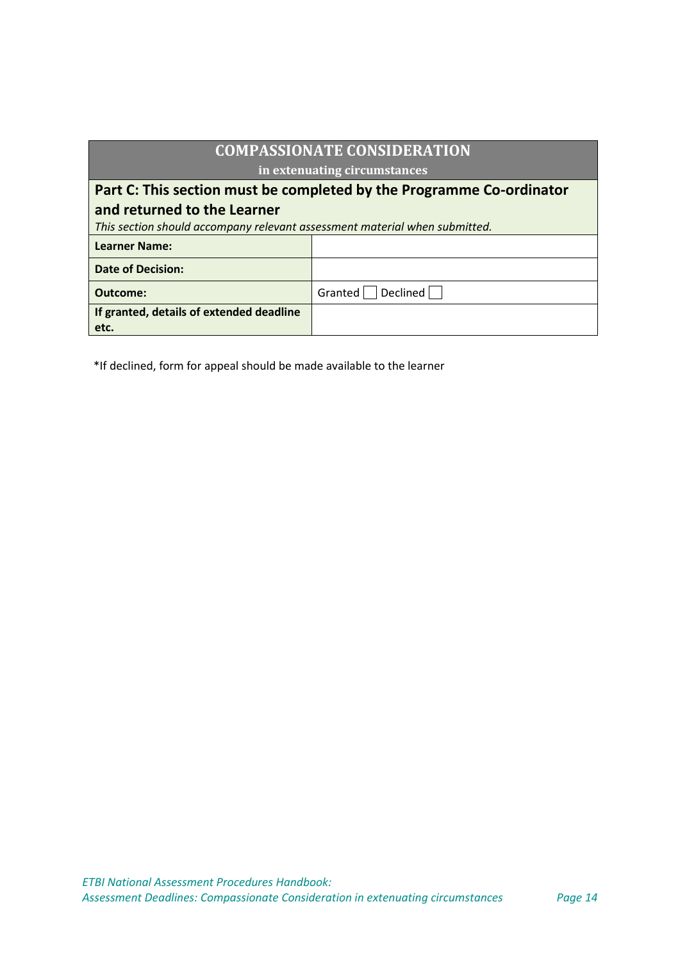| <b>COMPASSIONATE CONSIDERATION</b>                                         |                     |  |
|----------------------------------------------------------------------------|---------------------|--|
| in extenuating circumstances                                               |                     |  |
| Part C: This section must be completed by the Programme Co-ordinator       |                     |  |
| and returned to the Learner                                                |                     |  |
| This section should accompany relevant assessment material when submitted. |                     |  |
| <b>Learner Name:</b>                                                       |                     |  |
| <b>Date of Decision:</b>                                                   |                     |  |
| Outcome:                                                                   | Declined<br>Granted |  |
| If granted, details of extended deadline<br>etc.                           |                     |  |

\*If declined, form for appeal should be made available to the learner